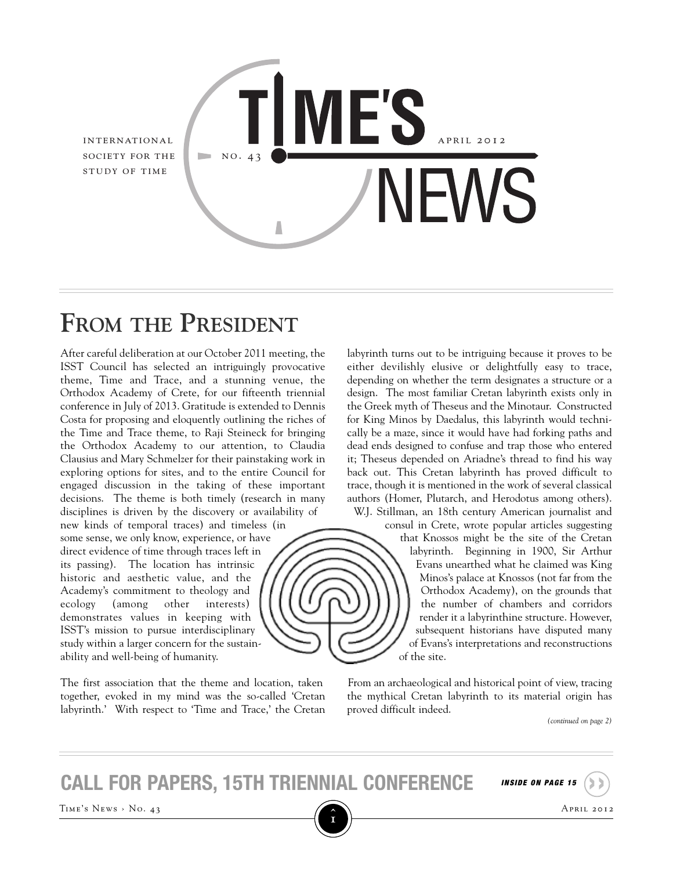

# **FROM THE PRESIDENT**

After careful deliberation at our October 2011 meeting, the ISST Council has selected an intriguingly provocative theme, Time and Trace, and a stunning venue, the Orthodox Academy of Crete, for our fifteenth triennial conference in July of 2013. Gratitude is extended to Dennis Costa for proposing and eloquently outlining the riches of the Time and Trace theme, to Raji Steineck for bringing the Orthodox Academy to our attention, to Claudia Clausius and Mary Schmelzer for their painstaking work in exploring options for sites, and to the entire Council for engaged discussion in the taking of these important decisions. The theme is both timely (research in many disciplines is driven by the discovery or availability of

new kinds of temporal traces) and timeless (in some sense, we only know, experience, or have direct evidence of time through traces left in its passing). The location has intrinsic historic and aesthetic value, and the Academy's commitment to theology and ecology (among other interests) demonstrates values in keeping with ISST's mission to pursue interdisciplinary study within a larger concern for the sustainability and well-being of humanity.

The first association that the theme and location, taken together, evoked in my mind was the so-called 'Cretan labyrinth.' With respect to 'Time and Trace,' the Cretan labyrinth turns out to be intriguing because it proves to be either devilishly elusive or delightfully easy to trace, depending on whether the term designates a structure or a design. The most familiar Cretan labyrinth exists only in the Greek myth of Theseus and the Minotaur. Constructed for King Minos by Daedalus, this labyrinth would technically be a maze, since it would have had forking paths and dead ends designed to confuse and trap those who entered it; Theseus depended on Ariadne's thread to find his way back out. This Cretan labyrinth has proved difficult to trace, though it is mentioned in the work of several classical authors (Homer, Plutarch, and Herodotus among others). W.J. Stillman, an 18th century American journalist and



consul in Crete, wrote popular articles suggesting that Knossos might be the site of the Cretan labyrinth. Beginning in 1900, Sir Arthur Evans unearthed what he claimed was King Minos's palace at Knossos (not far from the Orthodox Academy), on the grounds that the number of chambers and corridors render it a labyrinthine structure. However, subsequent historians have disputed many of Evans's interpretations and reconstructions of the site.

From an archaeological and historical point of view, tracing the mythical Cretan labyrinth to its material origin has proved difficult indeed.

*(continued on page 2)*

**call for papers, 15th triennial conference** *INSIDE ON PAGE <sup>15</sup>* **››**

TIME'S NEWS > No. 43 APRIL 2012

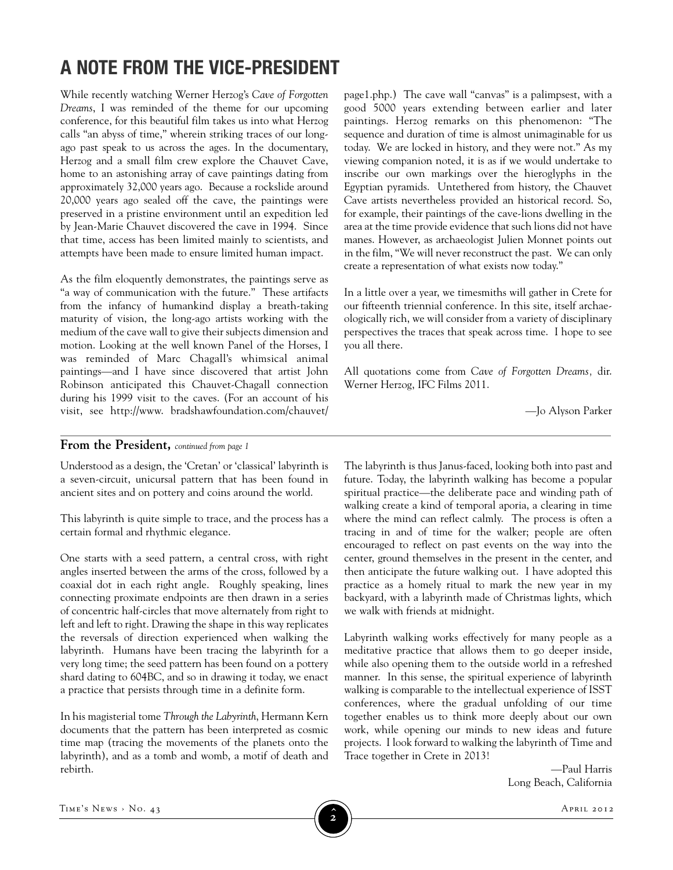# **A NOTE FROM THE VICE-PRESIDENT**

While recently watching Werner Herzog's *Cave of Forgotten Dreams*, I was reminded of the theme for our upcoming conference, for this beautiful film takes us into what Herzog calls "an abyss of time," wherein striking traces of our longago past speak to us across the ages. In the documentary, Herzog and a small film crew explore the Chauvet Cave, home to an astonishing array of cave paintings dating from approximately 32,000 years ago. Because a rockslide around 20,000 years ago sealed off the cave, the paintings were preserved in a pristine environment until an expedition led by Jean-Marie Chauvet discovered the cave in 1994. Since that time, access has been limited mainly to scientists, and attempts have been made to ensure limited human impact.

As the film eloquently demonstrates, the paintings serve as "a way of communication with the future." These artifacts from the infancy of humankind display a breath-taking maturity of vision, the long-ago artists working with the medium of the cave wall to give their subjects dimension and motion. Looking at the well known Panel of the Horses, I was reminded of Marc Chagall's whimsical animal paintings—and I have since discovered that artist John Robinson anticipated this Chauvet-Chagall connection during his 1999 visit to the caves. (For an account of his visit, see http://www. bradshawfoundation.com/chauvet/

page1.php.) The cave wall "canvas" is a palimpsest, with a good 5000 years extending between earlier and later paintings. Herzog remarks on this phenomenon: "The sequence and duration of time is almost unimaginable for us today. We are locked in history, and they were not." As my viewing companion noted, it is as if we would undertake to inscribe our own markings over the hieroglyphs in the Egyptian pyramids. Untethered from history, the Chauvet Cave artists nevertheless provided an historical record. So, for example, their paintings of the cave-lions dwelling in the area at the time provide evidence that such lions did not have manes. However, as archaeologist Julien Monnet points out in the film, "We will never reconstruct the past. We can only create a representation of what exists now today."

In a little over a year, we timesmiths will gather in Crete for our fifteenth triennial conference. In this site, itself archaeologically rich, we will consider from a variety of disciplinary perspectives the traces that speak across time. I hope to see you all there.

All quotations come from *Cave of Forgotten Dreams,* dir. Werner Herzog, IFC Films 2011.

––Jo Alyson Parker

#### **From the President,** *continued from page <sup>1</sup>*

Understood as a design, the 'Cretan' or 'classical' labyrinth is a seven-circuit, unicursal pattern that has been found in ancient sites and on pottery and coins around the world.

This labyrinth is quite simple to trace, and the process has a certain formal and rhythmic elegance.

One starts with a seed pattern, a central cross, with right angles inserted between the arms of the cross, followed by a coaxial dot in each right angle. Roughly speaking, lines connecting proximate endpoints are then drawn in a series of concentric half-circles that move alternately from right to left and left to right. Drawing the shape in this way replicates the reversals of direction experienced when walking the labyrinth. Humans have been tracing the labyrinth for a very long time; the seed pattern has been found on a pottery shard dating to 604BC, and so in drawing it today, we enact a practice that persists through time in a definite form.

In his magisterial tome *Through the Labyrinth*, Hermann Kern documents that the pattern has been interpreted as cosmic time map (tracing the movements of the planets onto the labyrinth), and as a tomb and womb, a motif of death and rebirth.

The labyrinth is thus Janus-faced, looking both into past and future. Today, the labyrinth walking has become a popular spiritual practice—the deliberate pace and winding path of walking create a kind of temporal aporia, a clearing in time where the mind can reflect calmly. The process is often a tracing in and of time for the walker; people are often encouraged to reflect on past events on the way into the center, ground themselves in the present in the center, and then anticipate the future walking out. I have adopted this practice as a homely ritual to mark the new year in my backyard, with a labyrinth made of Christmas lights, which we walk with friends at midnight.

Labyrinth walking works effectively for many people as a meditative practice that allows them to go deeper inside, while also opening them to the outside world in a refreshed manner. In this sense, the spiritual experience of labyrinth walking is comparable to the intellectual experience of ISST conferences, where the gradual unfolding of our time together enables us to think more deeply about our own work, while opening our minds to new ideas and future projects. I look forward to walking the labyrinth of Time and Trace together in Crete in 2013!

> —Paul Harris Long Beach, California

TIME'S NEWS > No. 43 **April 2012 2**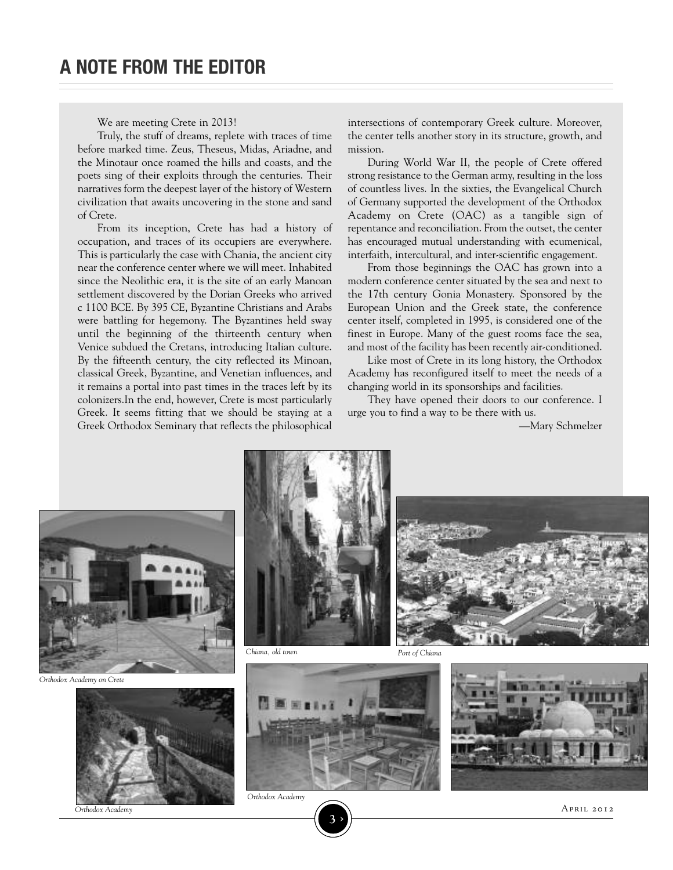We are meeting Crete in 2013!

Truly, the stuff of dreams, replete with traces of time before marked time. Zeus, Theseus, Midas, Ariadne, and the Minotaur once roamed the hills and coasts, and the poets sing of their exploits through the centuries. Their narratives form the deepest layer of the history of Western civilization that awaits uncovering in the stone and sand of Crete.

From its inception, Crete has had a history of occupation, and traces of its occupiers are everywhere. This is particularly the case with Chania, the ancient city near the conference center where we will meet. Inhabited since the Neolithic era, it is the site of an early Manoan settlement discovered by the Dorian Greeks who arrived c 1100 BCE. By 395 CE, Byzantine Christians and Arabs were battling for hegemony. The Byzantines held sway until the beginning of the thirteenth century when Venice subdued the Cretans, introducing Italian culture. By the fifteenth century, the city reflected its Minoan, classical Greek, Byzantine, and Venetian influences, and it remains a portal into past times in the traces left by its colonizers.In the end, however, Crete is most particularly Greek. It seems fitting that we should be staying at a Greek Orthodox Seminary that reflects the philosophical

intersections of contemporary Greek culture. Moreover, the center tells another story in its structure, growth, and mission.

During World War II, the people of Crete offered strong resistance to the German army, resulting in the loss of countless lives. In the sixties, the Evangelical Church of Germany supported the development of the Orthodox Academy on Crete (OAC) as a tangible sign of repentance and reconciliation. From the outset, the center has encouraged mutual understanding with ecumenical, interfaith, intercultural, and inter-scientific engagement.

From those beginnings the OAC has grown into a modern conference center situated by the sea and next to the 17th century Gonia Monastery. Sponsored by the European Union and the Greek state, the conference center itself, completed in 1995, is considered one of the finest in Europe. Many of the guest rooms face the sea, and most of the facility has been recently air-conditioned.

Like most of Crete in its long history, the Orthodox Academy has reconfigured itself to meet the needs of a changing world in its sponsorships and facilities.

They have opened their doors to our conference. I urge you to find a way to be there with us.

—Mary Schmelzer



*Orthodox Academy on Crete*



*Orthodox Academy*





*Chiana, old town Port of Chiana*



*Orthodox Academy*

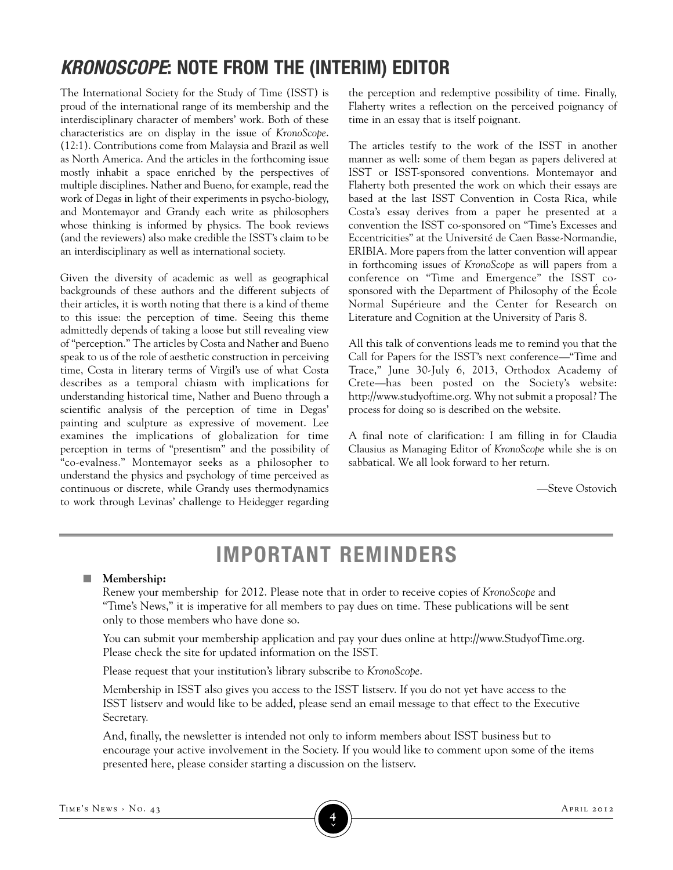# *KRONOSCOPE***: NOTE FROM THE (INTERIM) EDITOR**

The International Society for the Study of Time (ISST) is proud of the international range of its membership and the interdisciplinary character of members' work. Both of these characteristics are on display in the issue of *KronoScope*. (12:1). Contributions come from Malaysia and Brazil as well as North America. And the articles in the forthcoming issue mostly inhabit a space enriched by the perspectives of multiple disciplines. Nather and Bueno, for example, read the work of Degas in light of their experiments in psycho-biology, and Montemayor and Grandy each write as philosophers whose thinking is informed by physics. The book reviews (and the reviewers) also make credible the ISST's claim to be an interdisciplinary as well as international society.

Given the diversity of academic as well as geographical backgrounds of these authors and the different subjects of their articles, it is worth noting that there is a kind of theme to this issue: the perception of time. Seeing this theme admittedly depends of taking a loose but still revealing view of "perception." The articles by Costa and Nather and Bueno speak to us of the role of aesthetic construction in perceiving time, Costa in literary terms of Virgil's use of what Costa describes as a temporal chiasm with implications for understanding historical time, Nather and Bueno through a scientific analysis of the perception of time in Degas' painting and sculpture as expressive of movement. Lee examines the implications of globalization for time perception in terms of "presentism" and the possibility of "co-evalness." Montemayor seeks as a philosopher to understand the physics and psychology of time perceived as continuous or discrete, while Grandy uses thermodynamics to work through Levinas' challenge to Heidegger regarding

the perception and redemptive possibility of time. Finally, Flaherty writes a reflection on the perceived poignancy of time in an essay that is itself poignant.

The articles testify to the work of the ISST in another manner as well: some of them began as papers delivered at ISST or ISST-sponsored conventions. Montemayor and Flaherty both presented the work on which their essays are based at the last ISST Convention in Costa Rica, while Costa's essay derives from a paper he presented at a convention the ISST co-sponsored on "Time's Excesses and Eccentricities" at the Université de Caen Basse-Normandie, ERIBIA. More papers from the latter convention will appear in forthcoming issues of *KronoScope* as will papers from a conference on "Time and Emergence" the ISST cosponsored with the Department of Philosophy of the École Normal Supérieure and the Center for Research on Literature and Cognition at the University of Paris 8.

All this talk of conventions leads me to remind you that the Call for Papers for the ISST's next conference—"Time and Trace," June 30-July 6, 2013, Orthodox Academy of Crete—has been posted on the Society's website: http://www.studyoftime.org. Why not submit a proposal? The process for doing so is described on the website.

A final note of clarification: I am filling in for Claudia Clausius as Managing Editor of *KronoScope* while she is on sabbatical. We all look forward to her return.

—Steve Ostovich

# **IMPORTANT REMINDERS**

#### **n** Membership:

Renew your membership for 2012. Please note that in order to receive copies of *KronoScope* and "Time's News," it is imperative for all members to pay dues on time. These publications will be sent only to those members who have done so.

You can submit your membership application and pay your dues online at http://www.StudyofTime.org. Please check the site for updated information on the ISST.

Please request that your institution's library subscribe to *KronoScope*.

Membership in ISST also gives you access to the ISST listserv. If you do not yet have access to the ISST listserv and would like to be added, please send an email message to that effect to the Executive Secretary.

And, finally, the newsletter is intended not only to inform members about ISST business but to encourage your active involvement in the Society. If you would like to comment upon some of the items presented here, please consider starting a discussion on the listserv.

**›**

TIME'S NEWS > No. 43 **APRIL 2012**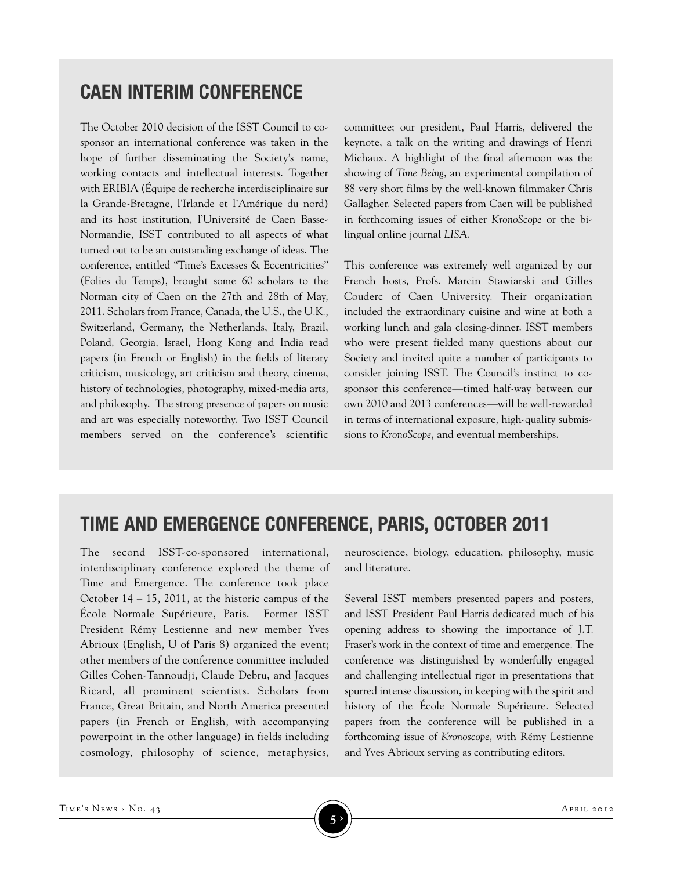### **CAEN INTERIM CONFERENCE**

The October 2010 decision of the ISST Council to cosponsor an international conference was taken in the hope of further disseminating the Society's name, working contacts and intellectual interests. Together with ERIBIA (Équipe de recherche interdisciplinaire sur la Grande-Bretagne, l'Irlande et l'Amérique du nord) and its host institution, l'Université de Caen Basse-Normandie, ISST contributed to all aspects of what turned out to be an outstanding exchange of ideas. The conference, entitled "Time's Excesses & Eccentricities" (Folies du Temps), brought some 60 scholars to the Norman city of Caen on the 27th and 28th of May, 2011. Scholars from France, Canada, the U.S., the U.K., Switzerland, Germany, the Netherlands, Italy, Brazil, Poland, Georgia, Israel, Hong Kong and India read papers (in French or English) in the fields of literary criticism, musicology, art criticism and theory, cinema, history of technologies, photography, mixed-media arts, and philosophy. The strong presence of papers on music and art was especially noteworthy. Two ISST Council members served on the conference's scientific committee; our president, Paul Harris, delivered the keynote, a talk on the writing and drawings of Henri Michaux. A highlight of the final afternoon was the showing of *Time Being*, an experimental compilation of 88 very short films by the well-known filmmaker Chris Gallagher. Selected papers from Caen will be published in forthcoming issues of either *KronoScope* or the bilingual online journal *LISA*.

This conference was extremely well organized by our French hosts, Profs. Marcin Stawiarski and Gilles Couderc of Caen University. Their organization included the extraordinary cuisine and wine at both a working lunch and gala closing-dinner. ISST members who were present fielded many questions about our Society and invited quite a number of participants to consider joining ISST. The Council's instinct to cosponsor this conference—timed half-way between our own 2010 and 2013 conferences—will be well-rewarded in terms of international exposure, high-quality submissions to *KronoScope*, and eventual memberships.

### **TIME AND EMERGENCE CONFERENCE, PARIS, OCTOBER 2011**

The second ISST-co-sponsored international, interdisciplinary conference explored the theme of Time and Emergence. The conference took place October 14 – 15, 2011, at the historic campus of the École Normale Supérieure, Paris. Former ISST President Rémy Lestienne and new member Yves Abrioux (English, U of Paris 8) organized the event; other members of the conference committee included Gilles Cohen-Tannoudji, Claude Debru, and Jacques Ricard, all prominent scientists. Scholars from France, Great Britain, and North America presented papers (in French or English, with accompanying powerpoint in the other language) in fields including cosmology, philosophy of science, metaphysics, neuroscience, biology, education, philosophy, music and literature.

Several ISST members presented papers and posters, and ISST President Paul Harris dedicated much of his opening address to showing the importance of J.T. Fraser's work in the context of time and emergence. The conference was distinguished by wonderfully engaged and challenging intellectual rigor in presentations that spurred intense discussion, in keeping with the spirit and history of the École Normale Supérieure. Selected papers from the conference will be published in a forthcoming issue of *Kronoscope*, with Rémy Lestienne and Yves Abrioux serving as contributing editors.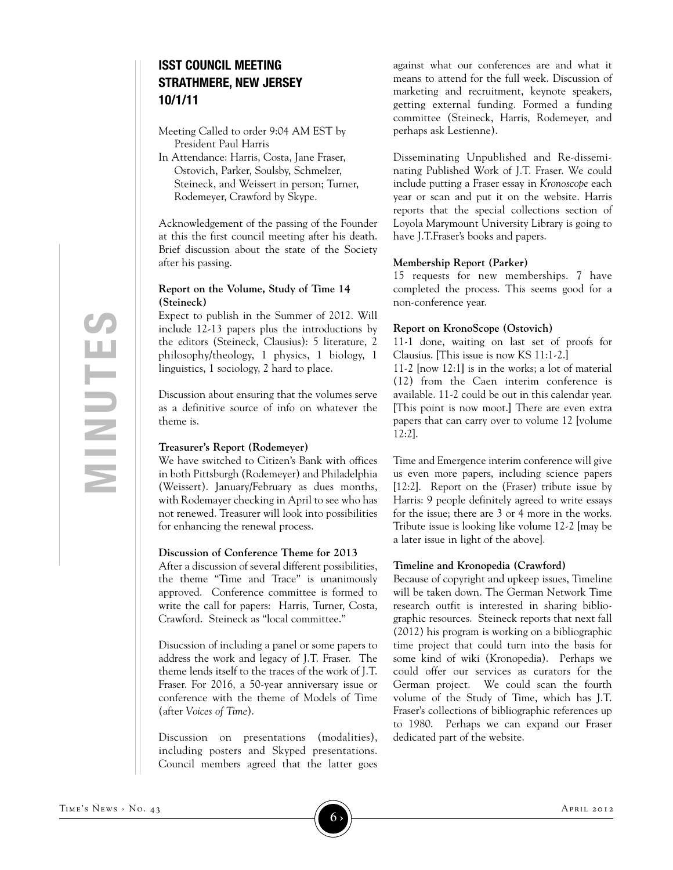#### **ISST COUNCIL MEETING STRATHMERE, NEW JERSEY 10/1/11**

Meeting Called to order 9:04 AM EST by President Paul Harris

In Attendance: Harris, Costa, Jane Fraser, Ostovich, Parker, Soulsby, Schmelzer, Steineck, and Weissert in person; Turner, Rodemeyer, Crawford by Skype.

Acknowledgement of the passing of the Founder at this the first council meeting after his death. Brief discussion about the state of the Society after his passing.

#### **Report on the Volume, Study of Time 14 (Steineck)**

Expect to publish in the Summer of 2012. Will include 12-13 papers plus the introductions by the editors (Steineck, Clausius): 5 literature, 2 philosophy/theology, 1 physics, 1 biology, 1 linguistics, 1 sociology, 2 hard to place.

Discussion about ensuring that the volumes serve as a definitive source of info on whatever the theme is.

#### **Treasurer's Report (Rodemeyer)**

We have switched to Citizen's Bank with offices in both Pittsburgh (Rodemeyer) and Philadelphia (Weissert). January/February as dues months, with Rodemayer checking in April to see who has not renewed. Treasurer will look into possibilities for enhancing the renewal process.

#### **Discussion of Conference Theme for 2013**

After a discussion of several different possibilities, the theme "Time and Trace" is unanimously approved. Conference committee is formed to write the call for papers: Harris, Turner, Costa, Crawford. Steineck as "local committee."

Disucssion of including a panel or some papers to address the work and legacy of J.T. Fraser. The theme lends itself to the traces of the work of J.T. Fraser. For 2016, a 50-year anniversary issue or conference with the theme of Models of Time (after *Voices of Time*).

Discussion on presentations (modalities), including posters and Skyped presentations. Council members agreed that the latter goes against what our conferences are and what it means to attend for the full week. Discussion of marketing and recruitment, keynote speakers, getting external funding. Formed a funding committee (Steineck, Harris, Rodemeyer, and perhaps ask Lestienne).

Disseminating Unpublished and Re-disseminating Published Work of J.T. Fraser. We could include putting a Fraser essay in *Kronoscope* each year or scan and put it on the website. Harris reports that the special collections section of Loyola Marymount University Library is going to have J.T.Fraser's books and papers.

#### **Membership Report (Parker)**

15 requests for new memberships. 7 have completed the process. This seems good for a non-conference year.

#### **Report on KronoScope (Ostovich)**

11-1 done, waiting on last set of proofs for Clausius. [This issue is now KS 11:1-2.]

11-2 [now 12:1] is in the works; a lot of material (12) from the Caen interim conference is available. 11-2 could be out in this calendar year. [This point is now moot.] There are even extra papers that can carry over to volume 12 [volume 12:2].

Time and Emergence interim conference will give us even more papers, including science papers [12:2]. Report on the (Fraser) tribute issue by Harris: 9 people definitely agreed to write essays for the issue; there are 3 or 4 more in the works. Tribute issue is looking like volume 12-2 [may be a later issue in light of the above].

#### **Timeline and Kronopedia (Crawford)**

Because of copyright and upkeep issues, Timeline will be taken down. The German Network Time research outfit is interested in sharing bibliographic resources. Steineck reports that next fall (2012) his program is working on a bibliographic time project that could turn into the basis for some kind of wiki (Kronopedia). Perhaps we could offer our services as curators for the German project. We could scan the fourth volume of the Study of Time, which has J.T. Fraser's collections of bibliographic references up to 1980. Perhaps we can expand our Fraser dedicated part of the website.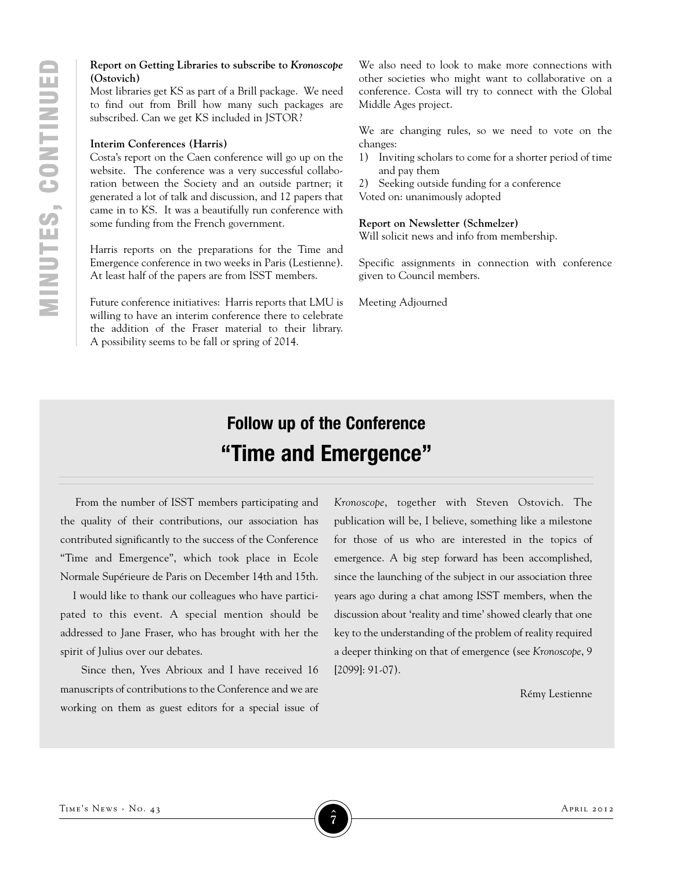#### **Report on Getting Libraries to subscribe to** *Kronoscope* **(Ostovich)**

Most libraries get KS as part of a Brill package. We need to find out from Brill how many such packages are subscribed. Can we get KS included in JSTOR?

#### **Interim Conferences (Harris)**

Costa's report on the Caen conference will go up on the website. The conference was a very successful collaboration between the Society and an outside partner; it generated a lot of talk and discussion, and 12 papers that came in to KS. It was a beautifully run conference with some funding from the French government.

Harris reports on the preparations for the Time and Emergence conference in two weeks in Paris (Lestienne). At least half of the papers are from ISST members.

Future conference initiatives: Harris reports that LMU is willing to have an interim conference there to celebrate the addition of the Fraser material to their library. A possibility seems to be fall or spring of 2014. At least half of the papers are from ISST members. given to Council metric or and the papers are from ISST members.<br>
Future conference initiatives: Harris reports that LMU is Meeting Adjourned

We also need to look to make more connections with other societies who might want to collaborative on a conference. Costa will try to connect with the Global Middle Ages project.

We are changing rules, so we need to vote on the changes:

1) Inviting scholars to come for a shorter period of time and pay them

2) Seeking outside funding for a conference

Voted on: unanimously adopted

#### **Report on Newsletter (Schmelzer)**

Will solicit news and info from membership.

Specific assignments in connection with conference given to Council members.

## **Follow up of the Conference "Time and Emergence"**

From the number of ISST members participating and the quality of their contributions, our association has contributed significantly to the success of the Conference "Time and Emergence", which took place in Ecole Normale Supérieure de Paris on December 14th and 15th.

I would like to thank our colleagues who have participated to this event. A special mention should be addressed to Jane Fraser, who has brought with her the spirit of Julius over our debates.

Since then, Yves Abrioux and I have received 16 manuscripts of contributions to the Conference and we are working on them as guest editors for a special issue of *Kronoscope*, together with Steven Ostovich. The publication will be, I believe, something like a milestone for those of us who are interested in the topics of emergence. A big step forward has been accomplished, since the launching of the subject in our association three years ago during a chat among ISST members, when the discussion about 'reality and time' showed clearly that one key to the understanding of the problem of reality required a deeper thinking on that of emergence (see *Kronoscope*, 9 [2099]: 91-07).

Rémy Lestienne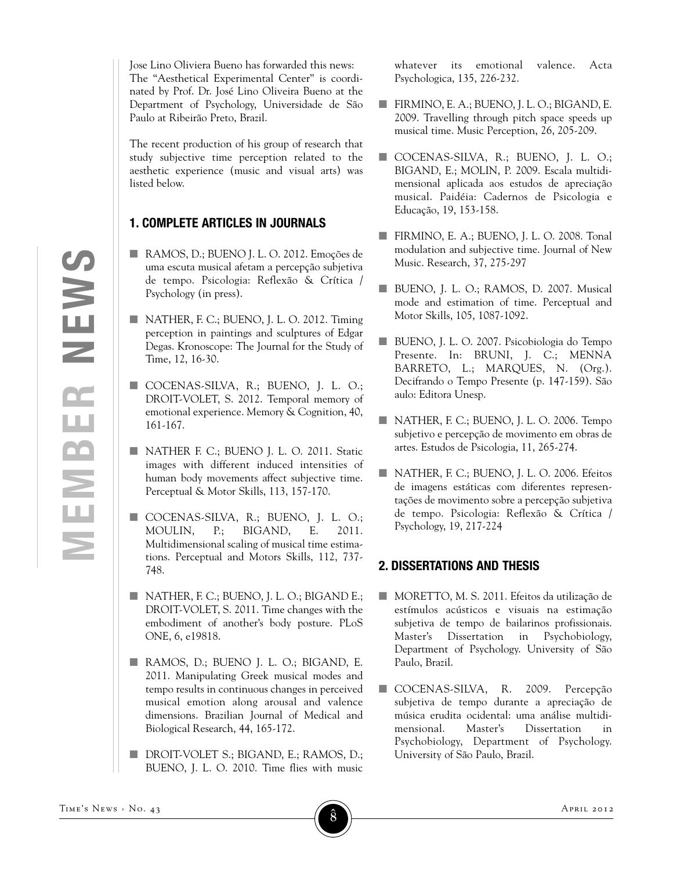Jose Lino Oliviera Bueno has forwarded this news: The "Aesthetical Experimental Center" is coordinated by Prof. Dr. José Lino Oliveira Bueno at the Department of Psychology, Universidade de São Paulo at Ribeirão Preto, Brazil.

The recent production of his group of research that study subjective time perception related to the aesthetic experience (music and visual arts) was listed below.

#### **1. COMPLETE ARTICLES IN JOURNALS**

- RAMOS, D.; BUENO J. L. O. 2012. Emoções de uma escuta musical afetam a percepção subjetiva de tempo. Psicologia: Reflexão & Crítica / Psychology (in press).
- NATHER, F. C.; BUENO, J. L. O. 2012. Timing perception in paintings and sculptures of Edgar Degas. Kronoscope: The Journal for the Study of Time, 12, 16-30.
- n COCENAS-SILVA, R.; BUENO, J. L. O.; DROIT-VOLET, S. 2012. Temporal memory of emotional experience. Memory & Cognition, 40, 161-167.
- **NATHER F. C.; BUENO J. L. O. 2011. Static** images with different induced intensities of human body movements affect subjective time. Perceptual & Motor Skills, 113, 157-170.
- COCENAS-SILVA, R.; BUENO, J. L. O.; MOULIN, P.; BIGAND, E. 2011. Multidimensional scaling of musical time estimations. Perceptual and Motors Skills, 112, 737- 748.
- $\blacksquare$  NATHER, F. C.; BUENO, J. L. O.; BIGAND E.; DROIT-VOLET, S. 2011. Time changes with the embodiment of another's body posture. PLoS ONE, 6, e19818.
- n RAMOS, D.; BUENO J. L. O.; BIGAND, E. 2011. Manipulating Greek musical modes and tempo results in continuous changes in perceived musical emotion along arousal and valence dimensions. Brazilian Journal of Medical and Biological Research, 44, 165-172.
- **n** DROIT-VOLET S.; BIGAND, E.; RAMOS, D.; BUENO, J. L. O. 2010. Time flies with music

whatever its emotional valence. Acta Psychologica, 135, 226-232.

- FIRMINO, E. A.; BUENO, J. L. O.; BIGAND, E. 2009. Travelling through pitch space speeds up musical time. Music Perception, 26, 205-209.
- n COCENAS-SILVA, R.; BUENO, J. L. O.; BIGAND, E.; MOLIN, P. 2009. Escala multidimensional aplicada aos estudos de apreciação musical. Paidéia: Cadernos de Psicologia e Educação, 19, 153-158.
- n FIRMINO, E. A.; BUENO, J. L. O. 2008. Tonal modulation and subjective time. Journal of New Music. Research, 37, 275-297
- BUENO, J. L. O.; RAMOS, D. 2007. Musical mode and estimation of time. Perceptual and Motor Skills, 105, 1087-1092.
- BUENO, J. L. O. 2007. Psicobiologia do Tempo Presente. In: BRUNI, J. C.; MENNA BARRETO, L.; MARQUES, N. (Org.). Decifrando o Tempo Presente (p. 147-159). São aulo: Editora Unesp.
- $\blacksquare$  NATHER, F. C.; BUENO, J. L. O. 2006. Tempo subjetivo e percepção de movimento em obras de artes. Estudos de Psicologia, 11, 265-274.
- n NATHER, F. C.; BUENO, J. L. O. 2006. Efeitos de imagens estáticas com diferentes representações de movimento sobre a percepção subjetiva de tempo. Psicologia: Reflexão & Crítica / Psychology, 19, 217-224

#### **2. DISSERTATIONS AND THESIS**

- n MORETTO, M. S. 2011. Efeitos da utilização de estímulos acústicos e visuais na estimação subjetiva de tempo de bailarinos profissionais. Master's Dissertation in Psychobiology, Department of Psychology. University of São Paulo, Brazil.
- COCENAS-SILVA, R. 2009. Percepção subjetiva de tempo durante a apreciação de música erudita ocidental: uma análise multidimensional. Master's Dissertation in Psychobiology, Department of Psychology. University of São Paulo, Brazil.

**M**

**e**

**M**

**b**

**e**

**r**

**N**

**E**

**W**

**S**

**8 ›**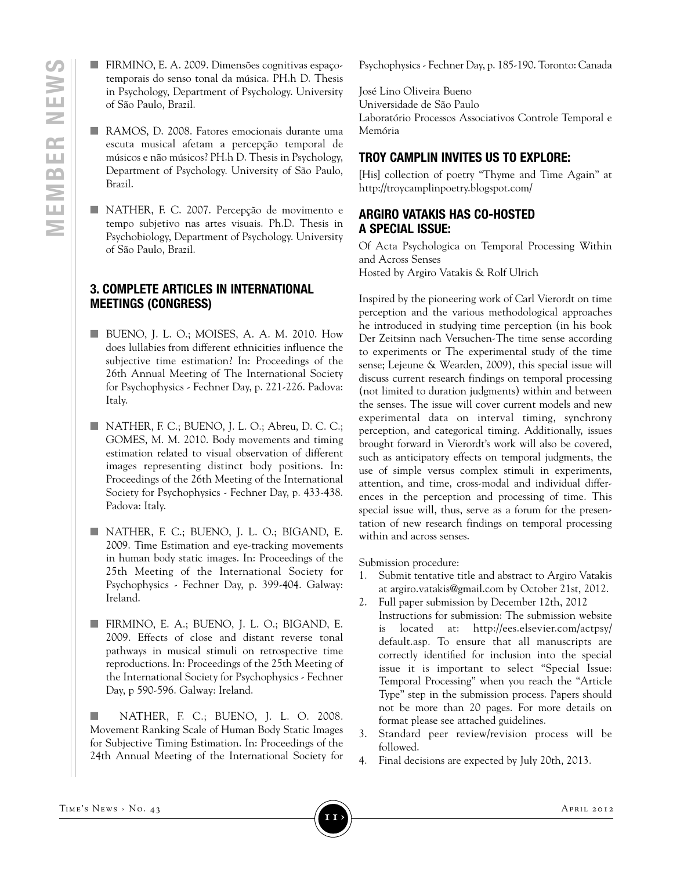- FIRMINO, E. A. 2009. Dimensões cognitivas espaçotemporais do senso tonal da música. PH.h D. Thesis in Psychology, Department of Psychology. University of São Paulo, Brazil.
- n RAMOS, D. 2008. Fatores emocionais durante uma escuta musical afetam a percepção temporal de músicos e não músicos? PH.h D. Thesis in Psychology, Department of Psychology. University of São Paulo, Brazil.
- n NATHER, F. C. 2007. Percepção de movimento e tempo subjetivo nas artes visuais. Ph.D. Thesis in Psychobiology, Department of Psychology. University of São Paulo, Brazil.

#### **3. COMPLETE ARTICLES IN INTERNATIONAL MEETINGS (CONGRESS)**

- **N** BUENO, J. L. O.; MOISES, A. A. M. 2010. How does lullabies from different ethnicities influence the subjective time estimation? In: Proceedings of the 26th Annual Meeting of The International Society for Psychophysics - Fechner Day, p. 221-226. Padova: Italy.
- $\blacksquare$  NATHER, F. C.; BUENO, J. L. O.; Abreu, D. C. C.; GOMES, M. M. 2010. Body movements and timing estimation related to visual observation of different images representing distinct body positions. In: Proceedings of the 26th Meeting of the International Society for Psychophysics - Fechner Day, p. 433-438. Padova: Italy.
- n NATHER, F. C.; BUENO, J. L. O.; BIGAND, E. 2009. Time Estimation and eye-tracking movements in human body static images. In: Proceedings of the 25th Meeting of the International Society for Psychophysics - Fechner Day, p. 399-404. Galway: Ireland.
- n FIRMINO, E. A.; BUENO, J. L. O.; BIGAND, E. 2009. Effects of close and distant reverse tonal pathways in musical stimuli on retrospective time reproductions. In: Proceedings of the 25th Meeting of the International Society for Psychophysics - Fechner Day, p 590-596. Galway: Ireland.
- n NATHER, F. C.; BUENO, J. L. O. 2008. Movement Ranking Scale of Human Body Static Images for Subjective Timing Estimation. In: Proceedings of the 24th Annual Meeting of the International Society for

Psychophysics - Fechner Day, p. 185-190. Toronto: Canada

José Lino Oliveira Bueno Universidade de São Paulo Laboratório Processos Associativos Controle Temporal e Memória

#### **TROY CAMPLIN INVITES US TO EXPLORE:**

[His] collection of poetry "Thyme and Time Again" at http://troycamplinpoetry.blogspot.com/

#### **ARGIRO VATAKIS HAS CO-HOSTED A SPECIAL ISSUE:**

Of Acta Psychologica on Temporal Processing Within and Across Senses Hosted by Argiro Vatakis & Rolf Ulrich

Inspired by the pioneering work of Carl Vierordt on time perception and the various methodological approaches he introduced in studying time perception (in his book Der Zeitsinn nach Versuchen-The time sense according to experiments or The experimental study of the time sense; Lejeune & Wearden, 2009), this special issue will discuss current research findings on temporal processing (not limited to duration judgments) within and between the senses. The issue will cover current models and new experimental data on interval timing, synchrony perception, and categorical timing. Additionally, issues brought forward in Vierordt's work will also be covered, such as anticipatory effects on temporal judgments, the use of simple versus complex stimuli in experiments, attention, and time, cross-modal and individual differences in the perception and processing of time. This special issue will, thus, serve as a forum for the presentation of new research findings on temporal processing within and across senses.

Submission procedure:

- 1. Submit tentative title and abstract to Argiro Vatakis at argiro.vatakis@gmail.com by October 21st, 2012.
- 2. Full paper submission by December 12th, 2012
	- Instructions for submission: The submission website is located at: http://ees.elsevier.com/actpsy/ default.asp. To ensure that all manuscripts are correctly identified for inclusion into the special issue it is important to select "Special Issue: Temporal Processing" when you reach the "Article Type" step in the submission process. Papers should not be more than 20 pages. For more details on format please see attached guidelines.
- 3. Standard peer review/revision process will be followed.
- 4. Final decisions are expected by July 20th, 2013.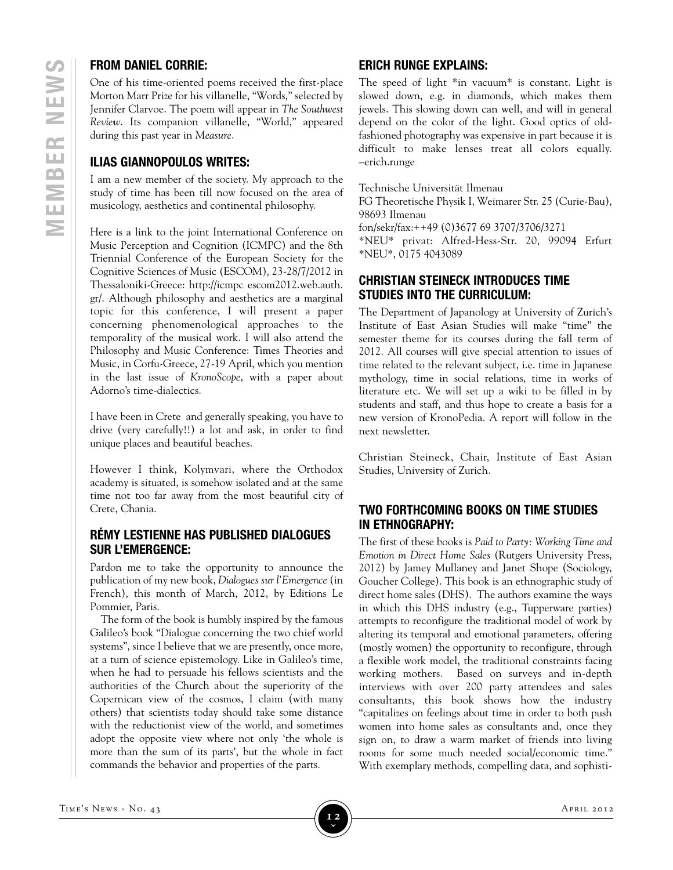#### **FROM DANIEL CORRIE:**

One of his time-oriented poems received the first-place Morton Marr Prize for his villanelle, "Words," selected by Jennifer Clarvoe. The poem will appear in *The Southwest Review*. Its companion villanelle, "World," appeared during this past year in *Measure*.

#### **ILIAS GIANNOPOULOS WRITES:**

I am a new member of the society. My approach to the study of time has been till now focused on the area of musicology, aesthetics and continental philosophy.

Here is a link to the joint International Conference on Music Perception and Cognition (ICMPC) and the 8th Triennial Conference of the European Society for the Cognitive Sciences of Music (ESCOM), 23-28/7/2012 in Thessaloniki-Greece: http://icmpc escom2012.web.auth. gr/. Although philosophy and aesthetics are a marginal topic for this conference, I will present a paper concerning phenomenological approaches to the temporaIity of the musical work. I will also attend the Philosophy and Music Conference: Times Theories and Music, in Corfu-Greece, 27-19 April, which you mention in the last issue of *KronoScope*, with a paper about Adorno's time-dialectics.

I have been in Crete and generally speaking, you have to drive (very carefully!!) a lot and ask, in order to find unique places and beautiful beaches.

However I think, Kolymvari, where the Orthodox academy is situated, is somehow isolated and at the same time not too far away from the most beautiful city of Crete, Chania.

#### **RÉMY LESTIENNE HAS PUBLISHED DIALOGUES SUR L'EMERGENCE:**

Pardon me to take the opportunity to announce the publication of my new book, *Dialogues sur l'Emergence* (in French), this month of March, 2012, by Editions Le Pommier, Paris.

The form of the book is humbly inspired by the famous Galileo's book "Dialogue concerning the two chief world systems", since I believe that we are presently, once more, at a turn of science epistemology. Like in Galileo's time, when he had to persuade his fellows scientists and the authorities of the Church about the superiority of the Copernican view of the cosmos, I claim (with many others) that scientists today should take some distance with the reductionist view of the world, and sometimes adopt the opposite view where not only 'the whole is more than the sum of its parts', but the whole in fact commands the behavior and properties of the parts.

#### **ERICH RUNGE EXPLAINS:**

The speed of light \*in vacuum\* is constant. Light is slowed down, e.g. in diamonds, which makes them jewels. This slowing down can well, and will in general depend on the color of the light. Good optics of oldfashioned photography was expensive in part because it is difficult to make lenses treat all colors equally. –erich.runge

Technische Universität Ilmenau

FG Theoretische Physik I, Weimarer Str. 25 (Curie-Bau), 98693 Ilmenau

fon/sekr/fax:++49 (0)3677 69 3707/3706/3271

\*NEU\* privat: Alfred-Hess-Str. 20, 99094 Erfurt \*NEU\*, 0175 4043089

#### **CHRISTIAN STEINECK INTRODUCES TIME STUDIES INTO THE CURRICULUM:**

The Department of Japanology at University of Zurich's Institute of East Asian Studies will make "time" the semester theme for its courses during the fall term of 2012. All courses will give special attention to issues of time related to the relevant subject, i.e. time in Japanese mythology, time in social relations, time in works of literature etc. We will set up a wiki to be filled in by students and staff, and thus hope to create a basis for a new version of KronoPedia. A report will follow in the next newsletter.

Christian Steineck, Chair, Institute of East Asian Studies, University of Zurich.

#### **TWO FORTHCOMING BOOKS ON TIME STUDIES IN ETHNOGRAPHY:**

The first of these books is *Paid to Party: Working Time and Emotion in Direct Home Sales* (Rutgers University Press, 2012) by Jamey Mullaney and Janet Shope (Sociology, Goucher College). This book is an ethnographic study of direct home sales (DHS). The authors examine the ways in which this DHS industry (e.g., Tupperware parties) attempts to reconfigure the traditional model of work by altering its temporal and emotional parameters, offering (mostly women) the opportunity to reconfigure, through a flexible work model, the traditional constraints facing working mothers. Based on surveys and in-depth interviews with over 200 party attendees and sales consultants, this book shows how the industry "capitalizes on feelings about time in order to both push women into home sales as consultants and, once they sign on, to draw a warm market of friends into living rooms for some much needed social/economic time." With exemplary methods, compelling data, and sophisti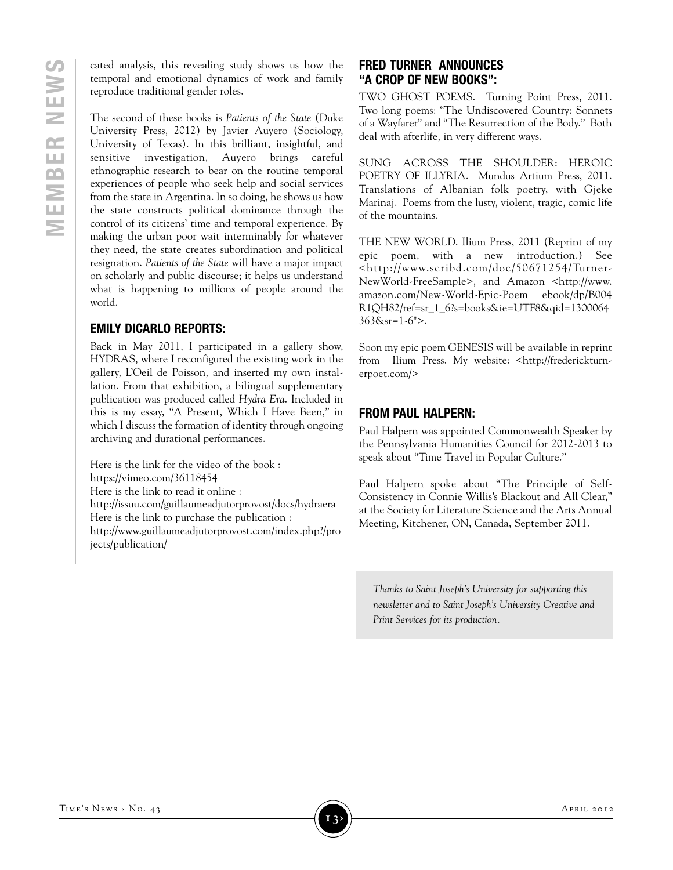cated analysis, this revealing study shows us how the temporal and emotional dynamics of work and family reproduce traditional gender roles.

The second of these books is *Patients of the State* (Duke University Press, 2012) by Javier Auyero (Sociology, University of Texas). In this brilliant, insightful, and sensitive investigation, Auyero brings careful ethnographic research to bear on the routine temporal experiences of people who seek help and social services from the state in Argentina. In so doing, he shows us how the state constructs political dominance through the control of its citizens' time and temporal experience. By making the urban poor wait interminably for whatever they need, the state creates subordination and political resignation. *Patients of the State* will have a major impact on scholarly and public discourse; it helps us understand what is happening to millions of people around the world.

#### **EMILY DICARLO REPORTS:**

Back in May 2011, I participated in a gallery show, HYDRAS, where I reconfigured the existing work in the gallery, L'Oeil de Poisson, and inserted my own installation. From that exhibition, a bilingual supplementary publication was produced called *Hydra Era*. Included in this is my essay, "A Present, Which I Have Been," in which I discuss the formation of identity through ongoing archiving and durational performances.

Here is the link for the video of the book : https://vimeo.com/36118454 Here is the link to read it online : http://issuu.com/guillaumeadjutorprovost/docs/hydraera Here is the link to purchase the publication : http://www.guillaumeadjutorprovost.com/index.php?/pro jects/publication/

#### **FRED TURNER ANNOUNCES "A CROP OF NEW BOOKS":**

TWO GHOST POEMS. Turning Point Press, 2011. Two long poems: "The Undiscovered Country: Sonnets of a Wayfarer" and "The Resurrection of the Body." Both deal with afterlife, in very different ways.

SUNG ACROSS THE SHOULDER: HEROIC POETRY OF ILLYRIA. Mundus Artium Press, 2011. Translations of Albanian folk poetry, with Gjeke Marinaj. Poems from the lusty, violent, tragic, comic life of the mountains.

THE NEW WORLD. Ilium Press, 2011 (Reprint of my epic poem, with a new introduction.) See <http://www.scribd.com/doc/50671254/Turner-NewWorld-FreeSample>, and Amazon <http://www. amazon.com/New-World-Epic-Poem ebook/dp/B004 R1QH82/ref=sr\_1\_6?s=books&ie=UTF8&qid=1300064 363&sr=1-6">.

Soon my epic poem GENESIS will be available in reprint from Ilium Press. My website: <http://frederickturnerpoet.com/>

#### **FROM PAUL HALPERN:**

Paul Halpern was appointed Commonwealth Speaker by the Pennsylvania Humanities Council for 2012-2013 to speak about "Time Travel in Popular Culture."

Paul Halpern spoke about "The Principle of Self-Consistency in Connie Willis's Blackout and All Clear," at the Society for Literature Science and the Arts Annual Meeting, Kitchener, ON, Canada, September 2011.

*Thanks to Saint Joseph's University for supporting this newsletter and to Saint Joseph's University Creative and Print Services for its production.*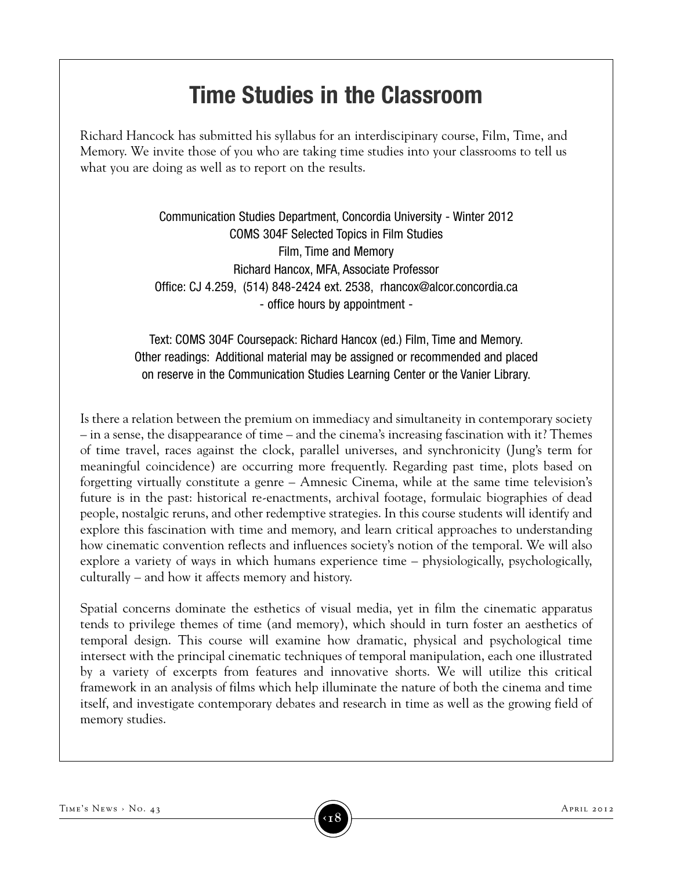# **time studies in the classroom**

Richard Hancock has submitted his syllabus for an interdiscipinary course, Film, Time, and Memory. We invite those of you who are taking time studies into your classrooms to tell us what you are doing as well as to report on the results.

> Communication Studies Department, Concordia University - Winter 2012 COMS 304F Selected Topics in Film Studies Film, Time and Memory Richard Hancox, MFA, Associate Professor Office: CJ 4.259, (514) 848-2424 ext. 2538, rhancox@alcor.concordia.ca - office hours by appointment -

Text: COMS 304F Coursepack: Richard Hancox (ed.) Film, Time and Memory. Other readings: Additional material may be assigned or recommended and placed on reserve in the Communication Studies Learning Center or the Vanier Library.

Is there a relation between the premium on immediacy and simultaneity in contemporary society – in a sense, the disappearance of time – and the cinema's increasing fascination with it? Themes of time travel, races against the clock, parallel universes, and synchronicity (Jung's term for meaningful coincidence) are occurring more frequently. Regarding past time, plots based on forgetting virtually constitute a genre – Amnesic Cinema, while at the same time television's future is in the past: historical re-enactments, archival footage, formulaic biographies of dead people, nostalgic reruns, and other redemptive strategies. In this course students will identify and explore this fascination with time and memory, and learn critical approaches to understanding how cinematic convention reflects and influences society's notion of the temporal. We will also explore a variety of ways in which humans experience time – physiologically, psychologically, culturally – and how it affects memory and history.

Spatial concerns dominate the esthetics of visual media, yet in film the cinematic apparatus tends to privilege themes of time (and memory), which should in turn foster an aesthetics of temporal design. This course will examine how dramatic, physical and psychological time intersect with the principal cinematic techniques of temporal manipulation, each one illustrated by a variety of excerpts from features and innovative shorts. We will utilize this critical framework in an analysis of films which help illuminate the nature of both the cinema and time itself, and investigate contemporary debates and research in time as well as the growing field of memory studies.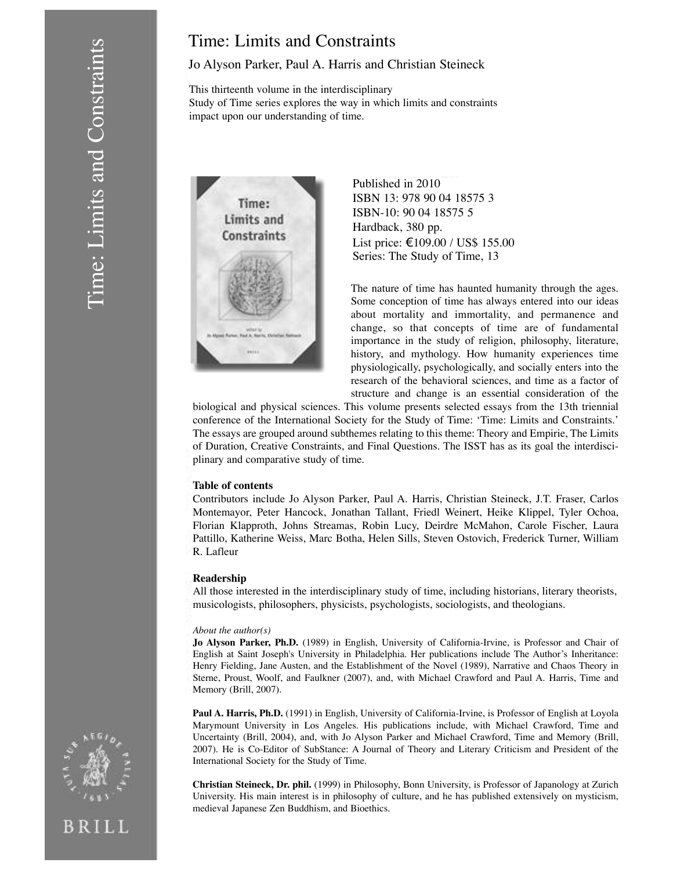### Time: Limits and Constraints

#### Jo Alyson Parker, Paul A. Harris and Christian Steineck

This thirteenth volume in the interdisciplinary Study of Time series explores the way in which limits and constraints impact upon our understanding of time.



Published in 2010 ISBN 13: 978 90 04 18575 3 ISBN-10: 90 04 18575 5 Hardback, 380 pp. List price: €109.00 / US\$ 155.00 Series: The Study of Time, 13

The nature of time has haunted humanity through the ages. Some conception of time has always entered into our ideas about mortality and immortality, and permanence and change, so that concepts of time are of fundamental importance in the study of religion, philosophy, literature, history, and mythology. How humanity experiences time physiologically, psychologically, and socially enters into the research of the behavioral sciences, and time as a factor of structure and change is an essential consideration of the

biological and physical sciences. This volume presents selected essays from the 13th triennial conference of the International Society for the Study of Time: 'Time: Limits and Constraints.' The essays are grouped around subthemes relating to this theme: Theory and Empirie, The Limits of Duration, Creative Constraints, and Final Questions. The ISST has as its goal the interdisciplinary and comparative study of time.

#### **Table of contents**

Contributors include Jo Alyson Parker, Paul A. Harris, Christian Steineck, J.T. Fraser, Carlos Montemayor, Peter Hancock, Jonathan Tallant, Friedl Weinert, Heike Klippel, Tyler Ochoa, Florian Klapproth, Johns Streamas, Robin Lucy, Deirdre McMahon, Carole Fischer, Laura Pattillo, Katherine Weiss, Marc Botha, Helen Sills, Steven Ostovich, Frederick Turner, William R. Lafleur

#### **Readership**

All those interested in the interdisciplinary study of time, including historians, literary theorists, musicologists, philosophers, physicists, psychologists, sociologists, and theologians.

#### *About the author(s)*

**Jo Alyson Parker, Ph.D.** (1989) in English, University of California-Irvine, is Professor and Chair of English at Saint Joseph's University in Philadelphia. Her publications include The Author's Inheritance: Henry Fielding, Jane Austen, and the Establishment of the Novel (1989), Narrative and Chaos Theory in Sterne, Proust, Woolf, and Faulkner (2007), and, with Michael Crawford and Paul A. Harris, Time and Memory (Brill, 2007).

**Paul A. Harris, Ph.D.** (1991) in English, University of California-Irvine, is Professor of English at Loyola Marymount University in Los Angeles. His publications include, with Michael Crawford, Time and Uncertainty (Brill, 2004), and, with Jo Alyson Parker and Michael Crawford, Time and Memory (Brill, 2007). He is Co-Editor of SubStance: A Journal of Theory and Literary Criticism and President of the International Society for the Study of Time.

**Christian Steineck, Dr. phil.** (1999) in Philosophy, Bonn University, is Professor of Japanology at Zurich University. His main interest is in philosophy of culture, and he has published extensively on mysticism, medieval Japanese Zen Buddhism, and Bioethics.



BRILL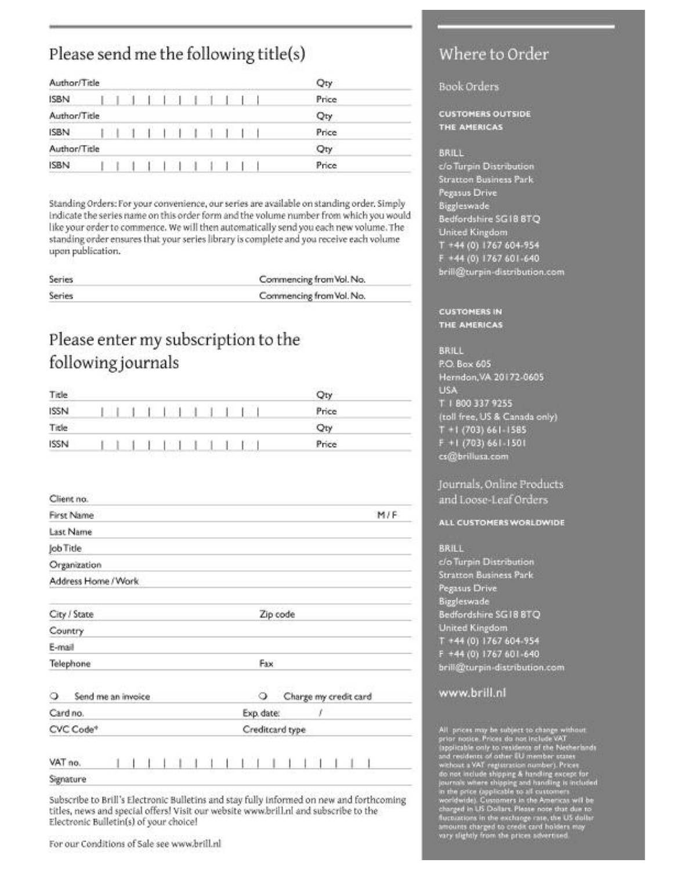### Please send me the following title(s)

| Author/Title |                         |  |  |     |  |  | Qty   |  |
|--------------|-------------------------|--|--|-----|--|--|-------|--|
| <b>ISBN</b>  | F.                      |  |  | 111 |  |  | Price |  |
| Author/Title |                         |  |  |     |  |  | Qty   |  |
| ISBN         |                         |  |  |     |  |  | Price |  |
| Author/Title | <b>Service Services</b> |  |  |     |  |  | Qty   |  |
| <b>ISBN</b>  | <b>CONTRACTOR</b>       |  |  |     |  |  | Price |  |

Standing Orders: For your convenience, our series are available on standing order. Simply indicate the series name on this order form and the volume number from which you would like your order to commence. We will then automatically send you each new volume. The standing order ensures that your series library is complete and you receive each volume upon publication.

| Series | Commencing from Vol. No. |
|--------|--------------------------|
| Series | Commencing from Vol. No. |

### Please enter my subscription to the following journals

| Title              |  |  |                                      |  |  |  | Qty        |  |
|--------------------|--|--|--------------------------------------|--|--|--|------------|--|
| <b>ISSN</b>        |  |  | 生 1891.34 A                          |  |  |  | Price      |  |
| Title <sup>:</sup> |  |  | the property of the fact of the con- |  |  |  | <b>DEV</b> |  |
| <b>ISSN</b>        |  |  | <b>SE SE LOS EST SE</b>              |  |  |  | Price      |  |

| First Name              | M/F                        |
|-------------------------|----------------------------|
| Last Name               |                            |
| Job Title               |                            |
| Organization            |                            |
| Address Home / Work     |                            |
| City / State            | Zip code                   |
| Country                 |                            |
| E-mail                  |                            |
| Telephone               | Fax                        |
| Send me an invoice<br>ು | Charge my credit card<br>Q |
| Card no.                | Exp. date:<br>1            |
| CVC Code*               | Creditcard type            |
|                         |                            |
| VAT no.                 |                            |
| Signature               |                            |

Subscribe to Brill's Electronic Bulletins and stay fully informed on new and forthcoming titles, news and special offers! Visit our website www.brill.nl and subscribe to the Electronic Bulletin(s) of your choice!

### Where to Order

#### **Book Orders**

**CUSTOMERS OUTSIDE** THE AMERICAS

#### **BRILL**

c/o Turpin Distribution **Stratton Business Park Pegasus Drive** Biggleswade Bedfordshire SG18 BTQ **United Kingdom**  $T + 44(0)$  1767 604-954 F +44 (0) 1767 601-640 brill@turpin-distribution.com

#### **CUSTOMERS IN** THE AMERICAS

**BRILL** P.O. Box 605 Herndon, VA 20172-0605 **USA** T 1 800 337 9255 (toll free, US & Canada only)  $T + 1$  (703) 661-1585  $F + 1$  (703) 661-1501 cs@brillusa.com

#### Journals, Online Products and Loose-Leaf Orders

#### ALL CUSTOMERS WORLDWIDE

**BRILL** 

c/o Turpin Distribution **Stratton Business Park Pegasus Drive** Biggleswade Bedfordshire SG18 BTQ **United Kingdom** T +44 (0) 1767 604-954 F +44 (0) 1767 601-640 brill@turpin-distribution.com

#### www.brill.nl

All prices may be subject to change without grior notice. Prices do not include VAT (applicable only to residents of the Netherland and residents of other EU member states without a VAT registration number). Prices do not

For our Conditions of Sale see www.brill.nl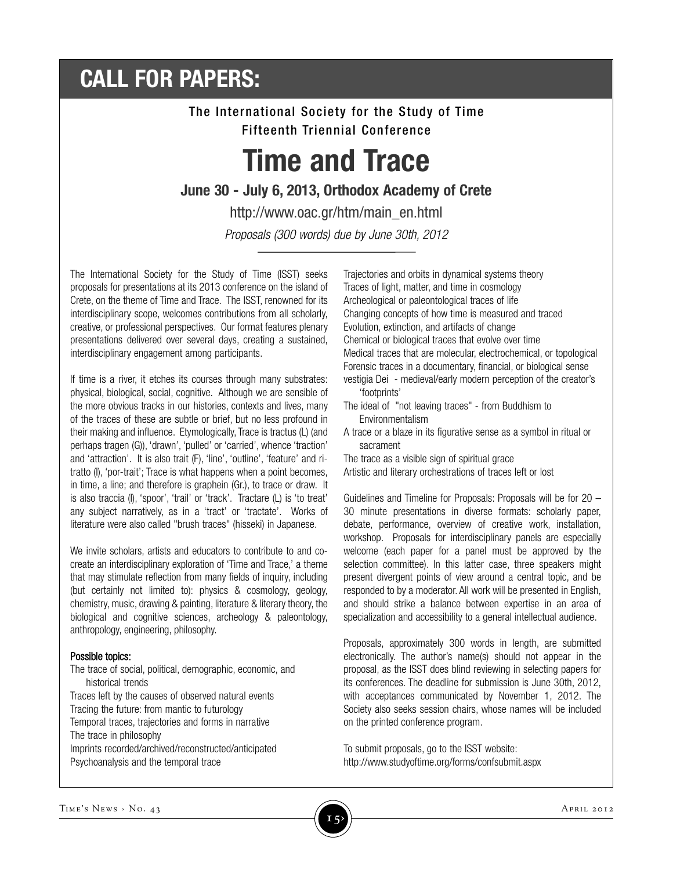# **CALL FOR PAPERS:**

### The International Society for the Study of Time Fifteenth Triennial Conference

# **Time and Trace**

#### **June 30 - July 6, 2013, Orthodox Academy of Crete**

http://www.oac.gr/htm/main\_en.html *Proposals (300 words) due by June 30th, 2012*

The International Society for the Study of Time (ISST) seeks proposals for presentations at its 2013 conference on the island of Crete, on the theme of Time and Trace. The ISST, renowned for its interdisciplinary scope, welcomes contributions from all scholarly, creative, or professional perspectives. Our format features plenary presentations delivered over several days, creating a sustained, interdisciplinary engagement among participants.

If time is a river, it etches its courses through many substrates: physical, biological, social, cognitive. Although we are sensible of the more obvious tracks in our histories, contexts and lives, many of the traces of these are subtle or brief, but no less profound in their making and influence. Etymologically, Trace is tractus (L) (and perhaps tragen (G)), 'drawn', 'pulled' or 'carried', whence 'traction' and 'attraction'. It is also trait (F), 'line', 'outline', 'feature' and ritratto (I), 'por-trait'; Trace is what happens when a point becomes, in time, a line; and therefore is graphein (Gr.), to trace or draw. It is also traccia (I), 'spoor', 'trail' or 'track'. Tractare (L) is 'to treat' any subject narratively, as in a 'tract' or 'tractate'. Works of literature were also called "brush traces" (hisseki) in Japanese.

We invite scholars, artists and educators to contribute to and cocreate an interdisciplinary exploration of 'Time and Trace,' a theme that may stimulate reflection from many fields of inquiry, including (but certainly not limited to): physics & cosmology, geology, chemistry, music, drawing & painting, literature & literary theory, the biological and cognitive sciences, archeology & paleontology, anthropology, engineering, philosophy.

#### Possible topics:

The trace of social, political, demographic, economic, and historical trends

Traces left by the causes of observed natural events Tracing the future: from mantic to futurology Temporal traces, trajectories and forms in narrative The trace in philosophy Imprints recorded/archived/reconstructed/anticipated Psychoanalysis and the temporal trace

Trajectories and orbits in dynamical systems theory Traces of light, matter, and time in cosmology Archeological or paleontological traces of life Changing concepts of how time is measured and traced Evolution, extinction, and artifacts of change Chemical or biological traces that evolve over time Medical traces that are molecular, electrochemical, or topological Forensic traces in a documentary, financial, or biological sense vestigia Dei - medieval/early modern perception of the creator's 'footprints'

- The ideal of "not leaving traces" from Buddhism to Environmentalism
- A trace or a blaze in its figurative sense as a symbol in ritual or sacrament

The trace as a visible sign of spiritual grace Artistic and literary orchestrations of traces left or lost

Guidelines and Timeline for Proposals: Proposals will be for 20 – 30 minute presentations in diverse formats: scholarly paper, debate, performance, overview of creative work, installation, workshop. Proposals for interdisciplinary panels are especially welcome (each paper for a panel must be approved by the selection committee). In this latter case, three speakers might present divergent points of view around a central topic, and be responded to by a moderator. All work will be presented in English, and should strike a balance between expertise in an area of specialization and accessibility to a general intellectual audience.

Proposals, approximately 300 words in length, are submitted electronically. The author's name(s) should not appear in the proposal, as the ISST does blind reviewing in selecting papers for its conferences. The deadline for submission is June 30th, 2012, with acceptances communicated by November 1, 2012. The Society also seeks session chairs, whose names will be included on the printed conference program.

To submit proposals, go to the ISST website: http://www.studyoftime.org/forms/confsubmit.aspx